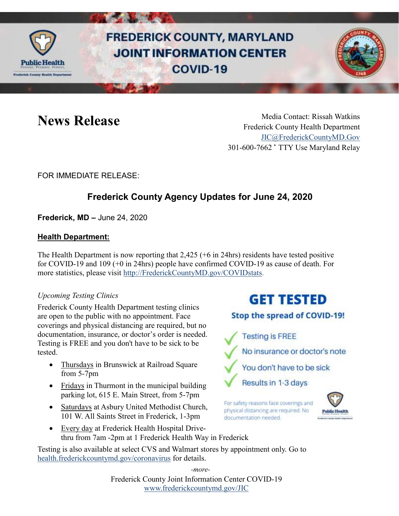

# **FREDERICK COUNTY, MARYLAND JOINT INFORMATION CENTER** COVID-19



News Release Media Contact: Rissah Watkins Frederick County Health Department [JIC@FrederickCountyMD.Gov](mailto:JIC@FrederickCountyMD.Gov) 301-600-7662 • TTY Use Maryland Relay

### FOR IMMEDIATE RELEASE:

## **Frederick County Agency Updates for June 24, 2020**

**Frederick, MD –** June 24, 2020

#### **Health Department:**

The Health Department is now reporting that 2,425 (+6 in 24hrs) residents have tested positive for COVID-19 and 109 (+0 in 24hrs) people have confirmed COVID-19 as cause of death. For more statistics, please visit [http://FrederickCountyMD.gov/COVIDstats.](http://frederickcountymd.gov/COVIDstats)

#### *Upcoming Testing Clinics*

Frederick County Health Department testing clinics are open to the public with no appointment. Face coverings and physical distancing are required, but no documentation, insurance, or doctor's order is needed. Testing is FREE and you don't have to be sick to be tested.

- Thursdays in Brunswick at Railroad Square from 5-7pm
- Fridays in Thurmont in the municipal building parking lot, 615 E. Main Street, from 5-7pm
- Saturdays at Asbury United Methodist Church, 101 W. All Saints Street in Frederick, 1-3pm
- Every day at Frederick Health Hospital Drivethru from 7am -2pm at 1 Frederick Health Way in Frederick

Testing is also available at select CVS and Walmart stores by appointment only. Go to [health.frederickcountymd.gov/coronavirus](https://health.frederickcountymd.gov/614/Novel-Coronavirus-COVID-19) for details.

> Frederick County Joint Information Center COVID-19 [www.frederickcountymd.gov/JIC](https://frederickcountymd.gov/JIC) *-more-*

## **GET TESTED**

#### Stop the spread of COVID-19!

**Testing is FREE** No insurance or doctor's note You don't have to be sick Results in 1-3 days

For safety reasons face coverings and physical distancing are required. No documentation needed.